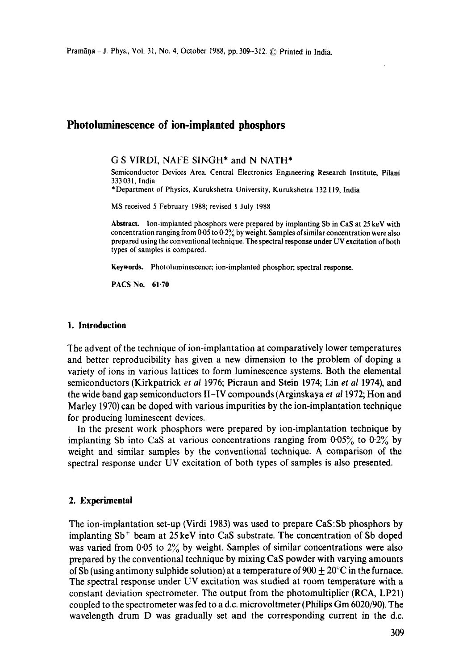# **Photoluminescence of ion-implanted phosphors**

### G S VIRDI, NAFE SINGH\* and N NATH\*

Semiconductor Devices Area, Central Electronics Engineering Research Institute, Pilani 333 031, India

\*Department of Physics, Kurukshetra University, Kurukshetra 132119, India

MS received 5 February 1988; revised 1 July 1988

**Abstract.** Ion-implanted phosphors were prepared by implanting Sb in CaS at 25 keV with concentration ranging from 0.05 to 0.2% by weight. Samples of similar concentration were also prepared using the conventional technique. The spectral response under UV excitation of both types of samples is compared.

**Keywords.** Photoluminescence; ion-implanted phosphor; spectral response.

PACS No. 61.70

### **1. Introduction**

The advent of the technique of ion-implantatioa at comparatively lower temperatures and better reproducibility has given a new dimension to the problem of doping a variety of ions in various lattices to form luminescence systems. Both the elemental semiconductors (Kirkpatrick *et al* 1976; Picraun and Stein 1974; Linet *al* 1974), and the wide band gap semiconductors II-IV compounds (Arginskaya *et a11972;* Hon and Marley 1970) can be doped with various impurities by the ion-implantation technique for producing luminescent devices.

In the present work phosphors were prepared by ion-implantation technique by implanting Sb into CaS at various concentrations ranging from  $0.05\%$  to  $0.2\%$  by weight and similar samples by the conventional technique. A comparison of the spectral response under UV excitation of both types of samples is also presented.

#### **2. Experimental**

The ion-implantation set-up (Virdi 1983) was used to prepare CaS:Sb phosphors by implanting Sb<sup>+</sup> beam at 25 keV into CaS substrate. The concentration of Sb doped was varied from  $0.05$  to  $2\%$  by weight. Samples of similar concentrations were also prepared by the conventional technique by mixing CaS powder with varying amounts of Sb (using antimony sulphide solution) at a temperature of 900  $+$  20 $\degree$ C in the furnace. The spectral response under UV excitation was studied at room temperature with a constant deviation spectrometer. The output from the photomultiplier (RCA, LP21) coupled to the spectrometer was fed to a d.c. microvoltmeter (Philips Gm 6020/90). The wavelength drum D was gradually set and the corresponding current in the d.c.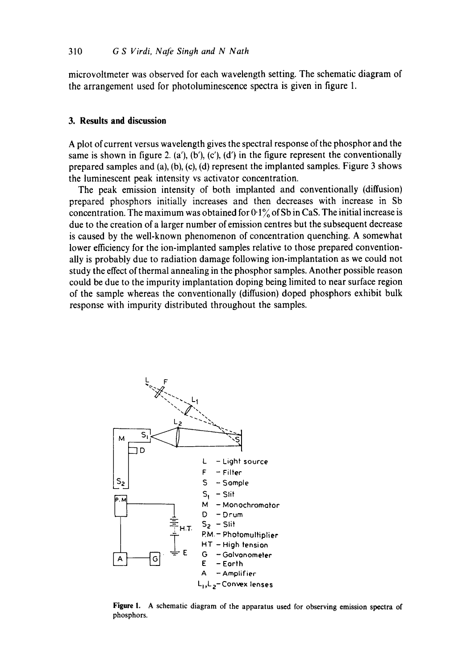**microvoltmeter was observed for each wavelength setting. The schematic diagram of the arrangement used for photoluminescence spectra is given in figure 1.** 

## **3. Results and discussion**

**A plot of current versus wavelength gives the spectral response of the phosphor and the same is shown in figure 2. (a'), (b'), (c'), (d') in the figure represent the conventionally prepared samples and (a), (b), (c), (d) represent the implanted samples. Figure 3 shows the luminescent peak intensity vs activator concentration.** 

**The peak emission intensity of both implanted and conventionally (diffusion) prepared phosphors initially increases and then decreases with increase in Sb concentration. The maximum was obtained for 0-1% of Sb in CaS. The initial increase is due to the creation of a larger number of emission centres but the subsequent decrease is caused by the well-known phenomenon of concentration quenching. A somewhat lower efficiency for the ion-implanted samples relative to those prepared conventionally is probably due to radiation damage following ion-implantation as we could not study the effect of thermal annealing in the phosphor samples. Another possible reason could be due to the impurity implantation doping being limited to near surface region of the sample whereas the conventionally (diffusion) doped phosphors exhibit bulk response with impurity distributed throughout the samples.** 



**Figure** 1. A **schematic diagram of the apparatus used for observing emission spectra of phosphors.**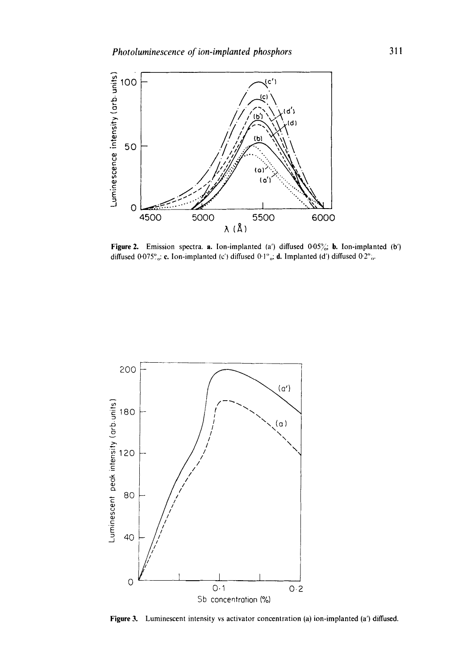

Figure 2. Emission spectra. a. Ion-implanted (a') diffused  $0.05\%$ , b. Ion-implanted (b') diffused 0.075°<sub>0</sub>: c. Ion-implanted (c') diffused 0.1°<sub>0</sub>: d. Implanted (d') diffused 0.2°<sub>0</sub>.



Figure 3. Luminescent intensity vs activator concentration (a) ion-implanted (a') diffused.